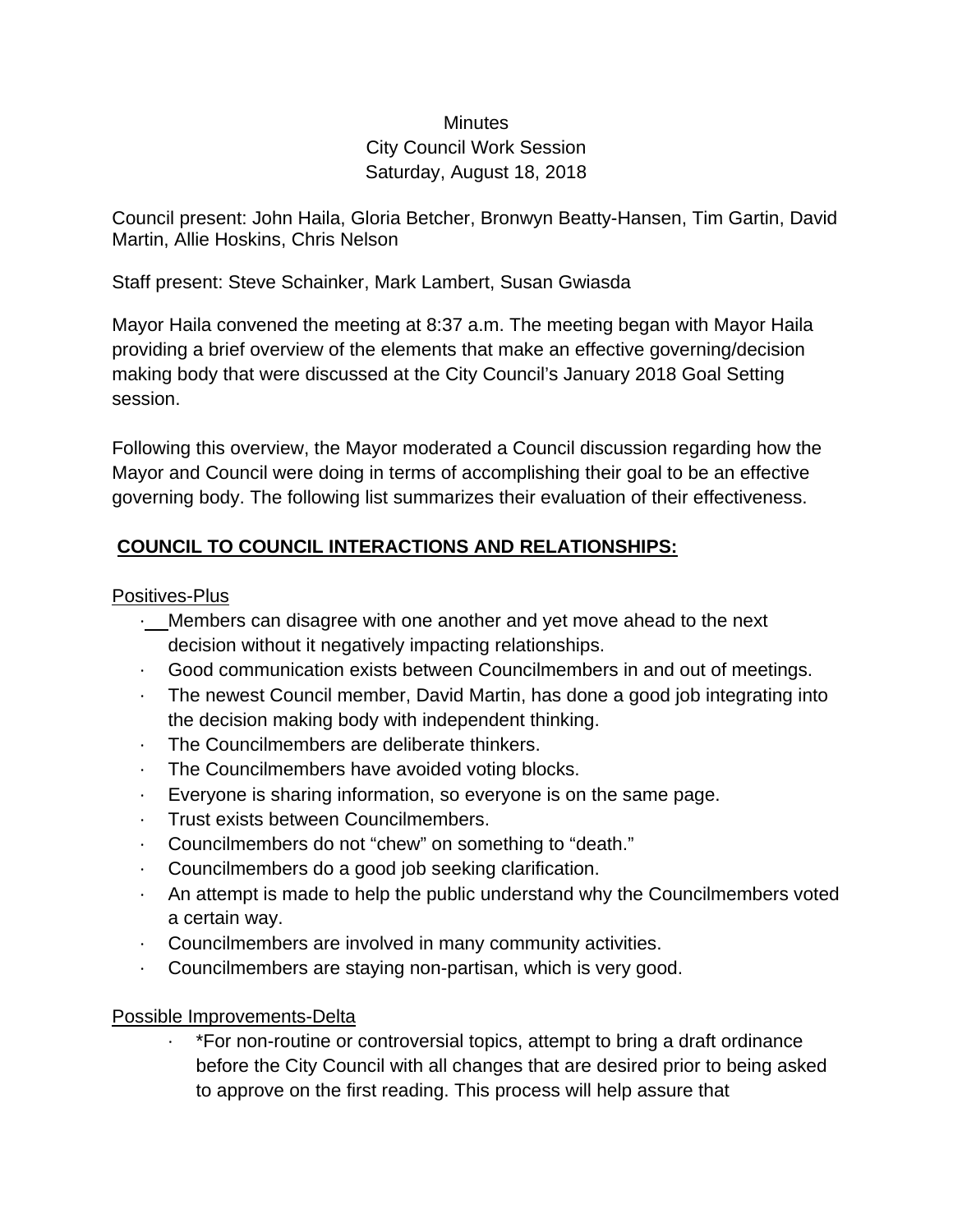# **Minutes** City Council Work Session Saturday, August 18, 2018

Council present: John Haila, Gloria Betcher, Bronwyn Beatty-Hansen, Tim Gartin, David Martin, Allie Hoskins, Chris Nelson

Staff present: Steve Schainker, Mark Lambert, Susan Gwiasda

Mayor Haila convened the meeting at 8:37 a.m. The meeting began with Mayor Haila providing a brief overview of the elements that make an effective governing/decision making body that were discussed at the City Council's January 2018 Goal Setting session.

Following this overview, the Mayor moderated a Council discussion regarding how the Mayor and Council were doing in terms of accomplishing their goal to be an effective governing body. The following list summarizes their evaluation of their effectiveness.

# **COUNCIL TO COUNCIL INTERACTIONS AND RELATIONSHIPS:**

### Positives-Plus

- ∙ Members can disagree with one another and yet move ahead to the next decision without it negatively impacting relationships.
- ∙ Good communication exists between Councilmembers in and out of meetings.
- ∙ The newest Council member, David Martin, has done a good job integrating into the decision making body with independent thinking.
- ∙ The Councilmembers are deliberate thinkers.
- ∙ The Councilmembers have avoided voting blocks.
- ∙ Everyone is sharing information, so everyone is on the same page.
- ∙ Trust exists between Councilmembers.
- ∙ Councilmembers do not "chew" on something to "death."
- ∙ Councilmembers do a good job seeking clarification.
- ∙ An attempt is made to help the public understand why the Councilmembers voted a certain way.
- ∙ Councilmembers are involved in many community activities.
- ∙ Councilmembers are staying non-partisan, which is very good.

#### Possible Improvements-Delta

∙ \*For non-routine or controversial topics, attempt to bring a draft ordinance before the City Council with all changes that are desired prior to being asked to approve on the first reading. This process will help assure that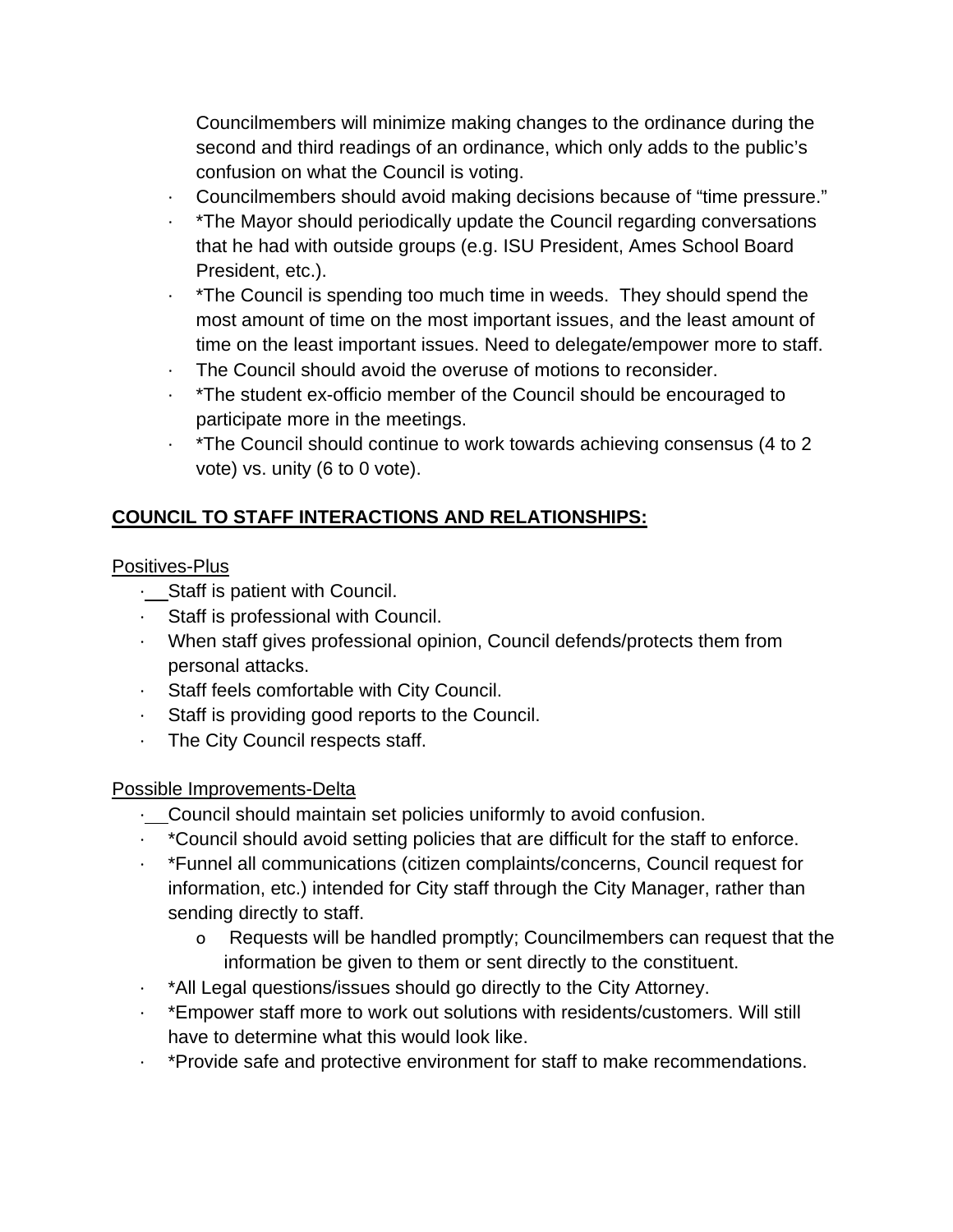Councilmembers will minimize making changes to the ordinance during the second and third readings of an ordinance, which only adds to the public's confusion on what the Council is voting.

- ∙ Councilmembers should avoid making decisions because of "time pressure."
- ∙ \*The Mayor should periodically update the Council regarding conversations that he had with outside groups (e.g. ISU President, Ames School Board President, etc.).
- ∙ \*The Council is spending too much time in weeds. They should spend the most amount of time on the most important issues, and the least amount of time on the least important issues. Need to delegate/empower more to staff.
- ∙ The Council should avoid the overuse of motions to reconsider.
- ∙ \*The student ex-officio member of the Council should be encouraged to participate more in the meetings.
- ∙ \*The Council should continue to work towards achieving consensus (4 to 2 vote) vs. unity (6 to 0 vote).

# **COUNCIL TO STAFF INTERACTIONS AND RELATIONSHIPS:**

Positives-Plus

- ∙ Staff is patient with Council.
- ∙ Staff is professional with Council.
- ∙ When staff gives professional opinion, Council defends/protects them from personal attacks.
- ∙ Staff feels comfortable with City Council.
- ∙ Staff is providing good reports to the Council.
- ∙ The City Council respects staff.

### Possible Improvements-Delta

- ∙ Council should maintain set policies uniformly to avoid confusion.
- ∙ \*Council should avoid setting policies that are difficult for the staff to enforce.
- ∙ \*Funnel all communications (citizen complaints/concerns, Council request for information, etc.) intended for City staff through the City Manager, rather than sending directly to staff.
	- o Requests will be handled promptly; Councilmembers can request that the information be given to them or sent directly to the constituent.
- ∙ \*All Legal questions/issues should go directly to the City Attorney.
- ∙ \*Empower staff more to work out solutions with residents/customers. Will still have to determine what this would look like.
- ∙ \*Provide safe and protective environment for staff to make recommendations.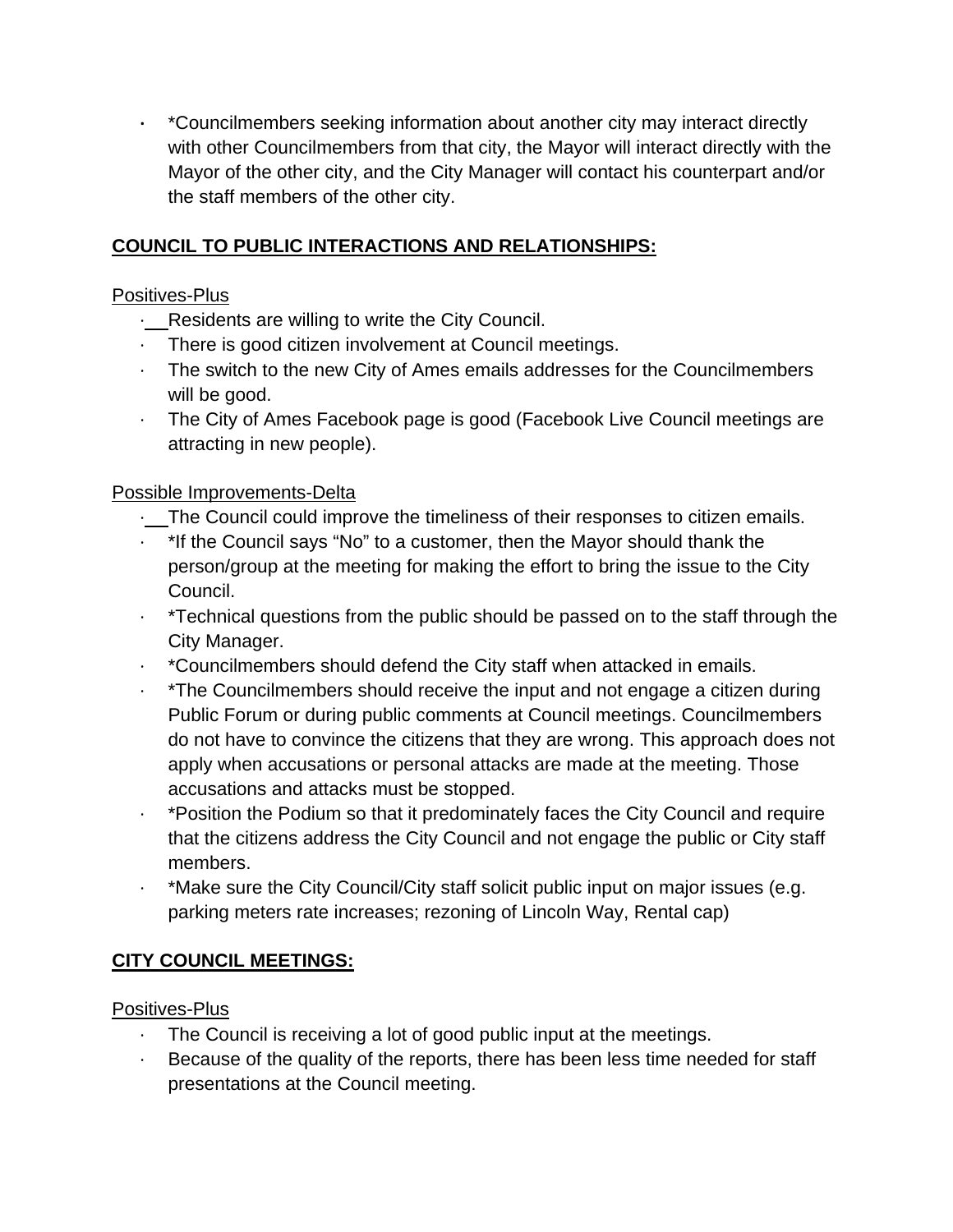**∙** \*Councilmembers seeking information about another city may interact directly with other Councilmembers from that city, the Mayor will interact directly with the Mayor of the other city, and the City Manager will contact his counterpart and/or the staff members of the other city.

# **COUNCIL TO PUBLIC INTERACTIONS AND RELATIONSHIPS:**

## Positives-Plus

- ∙ Residents are willing to write the City Council.
- ∙ There is good citizen involvement at Council meetings.
- ∙ The switch to the new City of Ames emails addresses for the Councilmembers will be good.
- ∙ The City of Ames Facebook page is good (Facebook Live Council meetings are attracting in new people).

# Possible Improvements-Delta

- ∙ The Council could improve the timeliness of their responses to citizen emails.
- ∙ \*If the Council says "No" to a customer, then the Mayor should thank the person/group at the meeting for making the effort to bring the issue to the City Council.
- ∙ \*Technical questions from the public should be passed on to the staff through the City Manager.
- ∙ \*Councilmembers should defend the City staff when attacked in emails.
- ∙ \*The Councilmembers should receive the input and not engage a citizen during Public Forum or during public comments at Council meetings. Councilmembers do not have to convince the citizens that they are wrong. This approach does not apply when accusations or personal attacks are made at the meeting. Those accusations and attacks must be stopped.
- ∙ \*Position the Podium so that it predominately faces the City Council and require that the citizens address the City Council and not engage the public or City staff members.
- ∙ \*Make sure the City Council/City staff solicit public input on major issues (e.g. parking meters rate increases; rezoning of Lincoln Way, Rental cap)

# **CITY COUNCIL MEETINGS:**

### Positives-Plus

- The Council is receiving a lot of good public input at the meetings.
- Because of the quality of the reports, there has been less time needed for staff presentations at the Council meeting.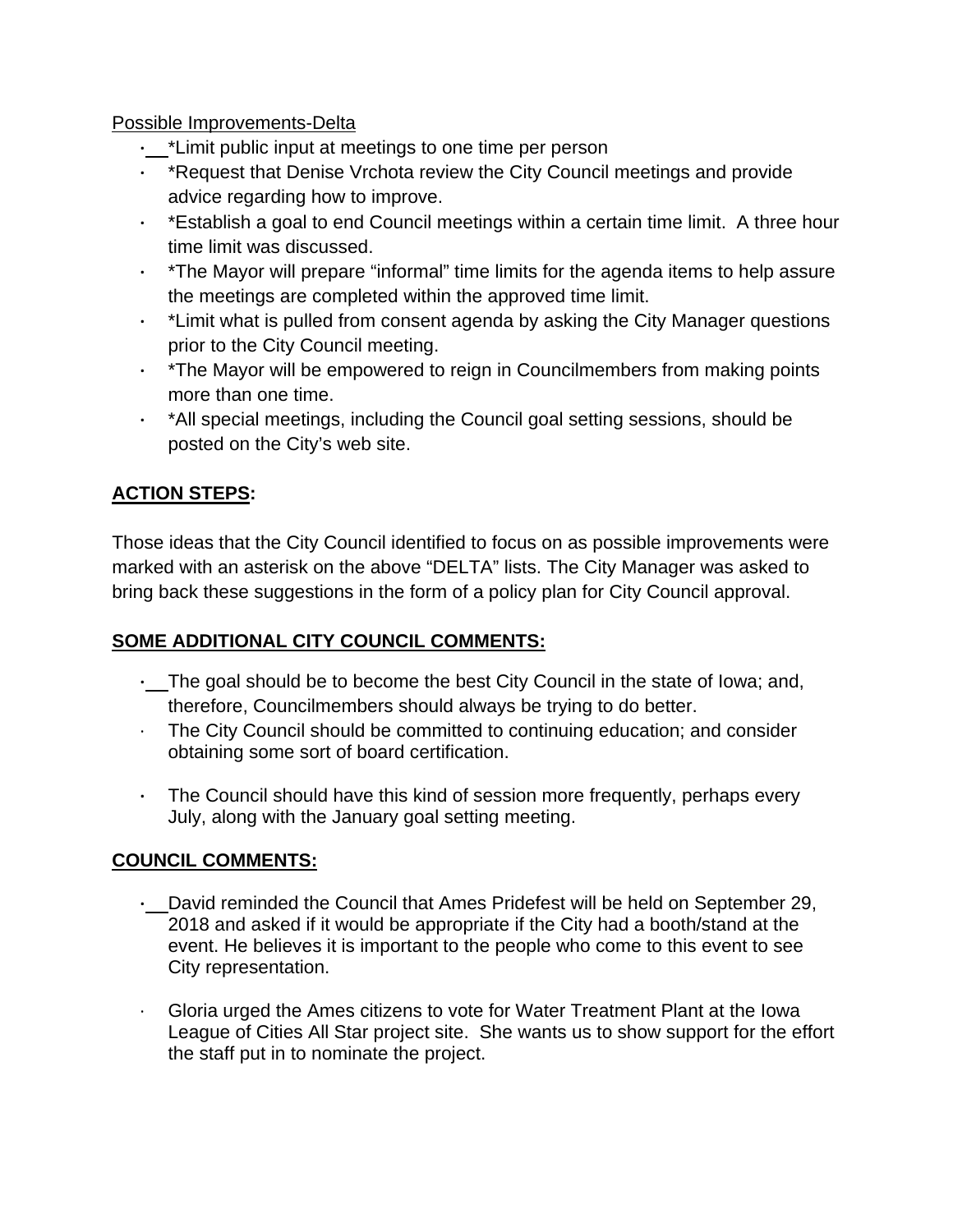#### Possible Improvements-Delta

- **∙** \*Limit public input at meetings to one time per person
- **∙** \*Request that Denise Vrchota review the City Council meetings and provide advice regarding how to improve.
- **∙** \*Establish a goal to end Council meetings within a certain time limit. A three hour time limit was discussed.
- **∙** \*The Mayor will prepare "informal" time limits for the agenda items to help assure the meetings are completed within the approved time limit.
- **∙** \*Limit what is pulled from consent agenda by asking the City Manager questions prior to the City Council meeting.
- **∙** \*The Mayor will be empowered to reign in Councilmembers from making points more than one time.
- **∙** \*All special meetings, including the Council goal setting sessions, should be posted on the City's web site.

# **ACTION STEPS:**

Those ideas that the City Council identified to focus on as possible improvements were marked with an asterisk on the above "DELTA" lists. The City Manager was asked to bring back these suggestions in the form of a policy plan for City Council approval.

### **SOME ADDITIONAL CITY COUNCIL COMMENTS:**

- **∙**  The goal should be to become the best City Council in the state of Iowa; and, therefore, Councilmembers should always be trying to do better.
- ∙ The City Council should be committed to continuing education; and consider obtaining some sort of board certification.
- **∙** The Council should have this kind of session more frequently, perhaps every July, along with the January goal setting meeting.

### **COUNCIL COMMENTS:**

- **∙**  David reminded the Council that Ames Pridefest will be held on September 29, 2018 and asked if it would be appropriate if the City had a booth/stand at the event. He believes it is important to the people who come to this event to see City representation.
- ∙ Gloria urged the Ames citizens to vote for Water Treatment Plant at the Iowa League of Cities All Star project site. She wants us to show support for the effort the staff put in to nominate the project.